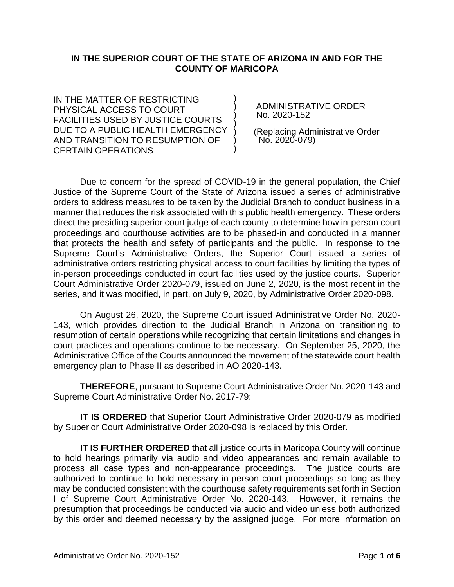## **IN THE SUPERIOR COURT OF THE STATE OF ARIZONA IN AND FOR THE COUNTY OF MARICOPA**

) ) ) ) ) ) )

IN THE MATTER OF RESTRICTING PHYSICAL ACCESS TO COURT FACILITIES USED BY JUSTICE COURTS DUE TO A PUBLIC HEALTH EMERGENCY AND TRANSITION TO RESUMPTION OF CERTAIN OPERATIONS

 ADMINISTRATIVE ORDER No. 2020-152

 (Replacing Administrative Order No. 2020-079)

Due to concern for the spread of COVID-19 in the general population, the Chief Justice of the Supreme Court of the State of Arizona issued a series of administrative orders to address measures to be taken by the Judicial Branch to conduct business in a manner that reduces the risk associated with this public health emergency. These orders direct the presiding superior court judge of each county to determine how in-person court proceedings and courthouse activities are to be phased-in and conducted in a manner that protects the health and safety of participants and the public. In response to the Supreme Court's Administrative Orders, the Superior Court issued a series of administrative orders restricting physical access to court facilities by limiting the types of in-person proceedings conducted in court facilities used by the justice courts. Superior Court Administrative Order 2020-079, issued on June 2, 2020, is the most recent in the series, and it was modified, in part, on July 9, 2020, by Administrative Order 2020-098.

On August 26, 2020, the Supreme Court issued Administrative Order No. 2020- 143, which provides direction to the Judicial Branch in Arizona on transitioning to resumption of certain operations while recognizing that certain limitations and changes in court practices and operations continue to be necessary. On September 25, 2020, the Administrative Office of the Courts announced the movement of the statewide court health emergency plan to Phase II as described in AO 2020-143.

**THEREFORE**, pursuant to Supreme Court Administrative Order No. 2020-143 and Supreme Court Administrative Order No. 2017-79:

**IT IS ORDERED** that Superior Court Administrative Order 2020-079 as modified by Superior Court Administrative Order 2020-098 is replaced by this Order.

**IT IS FURTHER ORDERED** that all justice courts in Maricopa County will continue to hold hearings primarily via audio and video appearances and remain available to process all case types and non-appearance proceedings. The justice courts are authorized to continue to hold necessary in-person court proceedings so long as they may be conducted consistent with the courthouse safety requirements set forth in Section I of Supreme Court Administrative Order No. 2020-143. However, it remains the presumption that proceedings be conducted via audio and video unless both authorized by this order and deemed necessary by the assigned judge. For more information on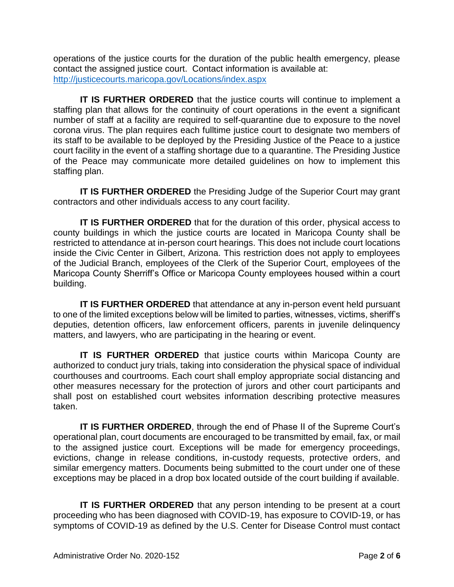operations of the justice courts for the duration of the public health emergency, please contact the assigned justice court. Contact information is available at: <http://justicecourts.maricopa.gov/Locations/index.aspx>

**IT IS FURTHER ORDERED** that the justice courts will continue to implement a staffing plan that allows for the continuity of court operations in the event a significant number of staff at a facility are required to self-quarantine due to exposure to the novel corona virus. The plan requires each fulltime justice court to designate two members of its staff to be available to be deployed by the Presiding Justice of the Peace to a justice court facility in the event of a staffing shortage due to a quarantine. The Presiding Justice of the Peace may communicate more detailed guidelines on how to implement this staffing plan.

**IT IS FURTHER ORDERED** the Presiding Judge of the Superior Court may grant contractors and other individuals access to any court facility.

**IT IS FURTHER ORDERED** that for the duration of this order, physical access to county buildings in which the justice courts are located in Maricopa County shall be restricted to attendance at in-person court hearings. This does not include court locations inside the Civic Center in Gilbert, Arizona. This restriction does not apply to employees of the Judicial Branch, employees of the Clerk of the Superior Court, employees of the Maricopa County Sherriff's Office or Maricopa County employees housed within a court building.

**IT IS FURTHER ORDERED** that attendance at any in-person event held pursuant to one of the limited exceptions below will be limited to parties, witnesses, victims, sheriff's deputies, detention officers, law enforcement officers, parents in juvenile delinquency matters, and lawyers, who are participating in the hearing or event.

**IT IS FURTHER ORDERED** that justice courts within Maricopa County are authorized to conduct jury trials, taking into consideration the physical space of individual courthouses and courtrooms. Each court shall employ appropriate social distancing and other measures necessary for the protection of jurors and other court participants and shall post on established court websites information describing protective measures taken.

**IT IS FURTHER ORDERED, through the end of Phase II of the Supreme Court's** operational plan, court documents are encouraged to be transmitted by email, fax, or mail to the assigned justice court. Exceptions will be made for emergency proceedings, evictions, change in release conditions, in-custody requests, protective orders, and similar emergency matters. Documents being submitted to the court under one of these exceptions may be placed in a drop box located outside of the court building if available.

**IT IS FURTHER ORDERED** that any person intending to be present at a court proceeding who has been diagnosed with COVID-19, has exposure to COVID-19, or has symptoms of COVID-19 as defined by the U.S. Center for Disease Control must contact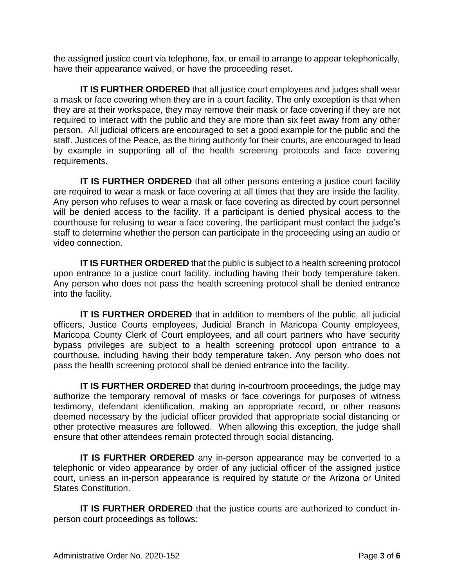the assigned justice court via telephone, fax, or email to arrange to appear telephonically, have their appearance waived, or have the proceeding reset.

**IT IS FURTHER ORDERED** that all justice court employees and judges shall wear a mask or face covering when they are in a court facility. The only exception is that when they are at their workspace, they may remove their mask or face covering if they are not required to interact with the public and they are more than six feet away from any other person. All judicial officers are encouraged to set a good example for the public and the staff. Justices of the Peace, as the hiring authority for their courts, are encouraged to lead by example in supporting all of the health screening protocols and face covering requirements.

**IT IS FURTHER ORDERED** that all other persons entering a justice court facility are required to wear a mask or face covering at all times that they are inside the facility. Any person who refuses to wear a mask or face covering as directed by court personnel will be denied access to the facility. If a participant is denied physical access to the courthouse for refusing to wear a face covering, the participant must contact the judge's staff to determine whether the person can participate in the proceeding using an audio or video connection.

**IT IS FURTHER ORDERED** that the public is subject to a health screening protocol upon entrance to a justice court facility, including having their body temperature taken. Any person who does not pass the health screening protocol shall be denied entrance into the facility.

**IT IS FURTHER ORDERED** that in addition to members of the public, all judicial officers, Justice Courts employees, Judicial Branch in Maricopa County employees, Maricopa County Clerk of Court employees, and all court partners who have security bypass privileges are subject to a health screening protocol upon entrance to a courthouse, including having their body temperature taken. Any person who does not pass the health screening protocol shall be denied entrance into the facility.

**IT IS FURTHER ORDERED** that during in-courtroom proceedings, the judge may authorize the temporary removal of masks or face coverings for purposes of witness testimony, defendant identification, making an appropriate record, or other reasons deemed necessary by the judicial officer provided that appropriate social distancing or other protective measures are followed. When allowing this exception, the judge shall ensure that other attendees remain protected through social distancing.

**IT IS FURTHER ORDERED** any in-person appearance may be converted to a telephonic or video appearance by order of any judicial officer of the assigned justice court, unless an in-person appearance is required by statute or the Arizona or United States Constitution.

**IT IS FURTHER ORDERED** that the justice courts are authorized to conduct inperson court proceedings as follows: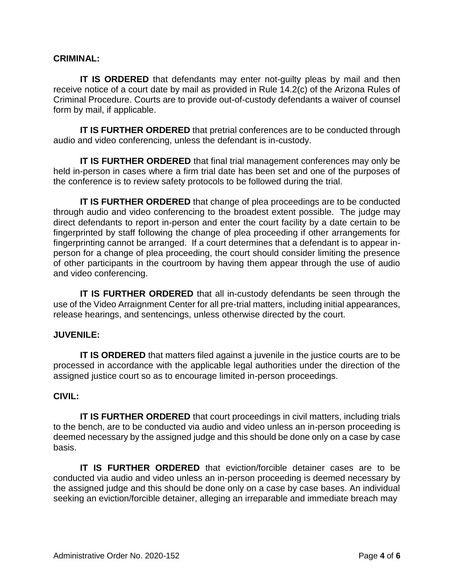## **CRIMINAL:**

**IT IS ORDERED** that defendants may enter not-quilty pleas by mail and then receive notice of a court date by mail as provided in Rule 14.2(c) of the Arizona Rules of Criminal Procedure. Courts are to provide out-of-custody defendants a waiver of counsel form by mail, if applicable.

**IT IS FURTHER ORDERED** that pretrial conferences are to be conducted through audio and video conferencing, unless the defendant is in-custody.

**IT IS FURTHER ORDERED** that final trial management conferences may only be held in-person in cases where a firm trial date has been set and one of the purposes of the conference is to review safety protocols to be followed during the trial.

**IT IS FURTHER ORDERED** that change of plea proceedings are to be conducted through audio and video conferencing to the broadest extent possible. The judge may direct defendants to report in-person and enter the court facility by a date certain to be fingerprinted by staff following the change of plea proceeding if other arrangements for fingerprinting cannot be arranged. If a court determines that a defendant is to appear inperson for a change of plea proceeding, the court should consider limiting the presence of other participants in the courtroom by having them appear through the use of audio and video conferencing.

**IT IS FURTHER ORDERED** that all in-custody defendants be seen through the use of the Video Arraignment Center for all pre-trial matters, including initial appearances, release hearings, and sentencings, unless otherwise directed by the court.

#### **JUVENILE:**

**IT IS ORDERED** that matters filed against a juvenile in the justice courts are to be processed in accordance with the applicable legal authorities under the direction of the assigned justice court so as to encourage limited in-person proceedings.

### **CIVIL:**

**IT IS FURTHER ORDERED** that court proceedings in civil matters, including trials to the bench, are to be conducted via audio and video unless an in-person proceeding is deemed necessary by the assigned judge and this should be done only on a case by case basis.

**IT IS FURTHER ORDERED** that eviction/forcible detainer cases are to be conducted via audio and video unless an in-person proceeding is deemed necessary by the assigned judge and this should be done only on a case by case bases. An individual seeking an eviction/forcible detainer, alleging an irreparable and immediate breach may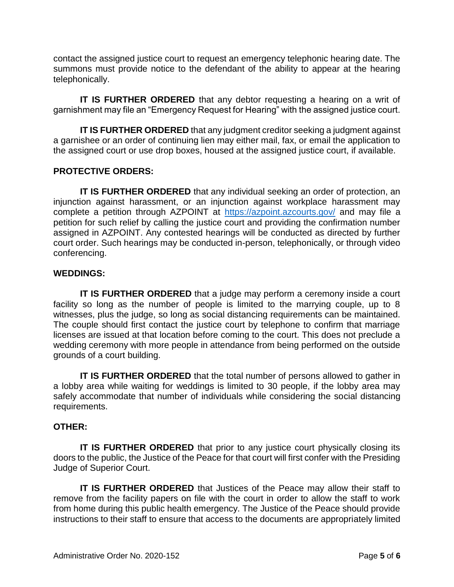contact the assigned justice court to request an emergency telephonic hearing date. The summons must provide notice to the defendant of the ability to appear at the hearing telephonically.

**IT IS FURTHER ORDERED** that any debtor requesting a hearing on a writ of garnishment may file an "Emergency Request for Hearing" with the assigned justice court.

**IT IS FURTHER ORDERED** that any judgment creditor seeking a judgment against a garnishee or an order of continuing lien may either mail, fax, or email the application to the assigned court or use drop boxes, housed at the assigned justice court, if available.

# **PROTECTIVE ORDERS:**

**IT IS FURTHER ORDERED** that any individual seeking an order of protection, an injunction against harassment, or an injunction against workplace harassment may complete a petition through AZPOINT at <https://azpoint.azcourts.gov/> and may file a petition for such relief by calling the justice court and providing the confirmation number assigned in AZPOINT. Any contested hearings will be conducted as directed by further court order. Such hearings may be conducted in-person, telephonically, or through video conferencing.

#### **WEDDINGS:**

**IT IS FURTHER ORDERED** that a judge may perform a ceremony inside a court facility so long as the number of people is limited to the marrying couple, up to 8 witnesses, plus the judge, so long as social distancing requirements can be maintained. The couple should first contact the justice court by telephone to confirm that marriage licenses are issued at that location before coming to the court. This does not preclude a wedding ceremony with more people in attendance from being performed on the outside grounds of a court building.

**IT IS FURTHER ORDERED** that the total number of persons allowed to gather in a lobby area while waiting for weddings is limited to 30 people, if the lobby area may safely accommodate that number of individuals while considering the social distancing requirements.

## **OTHER:**

**IT IS FURTHER ORDERED** that prior to any justice court physically closing its doors to the public, the Justice of the Peace for that court will first confer with the Presiding Judge of Superior Court.

**IT IS FURTHER ORDERED** that Justices of the Peace may allow their staff to remove from the facility papers on file with the court in order to allow the staff to work from home during this public health emergency. The Justice of the Peace should provide instructions to their staff to ensure that access to the documents are appropriately limited